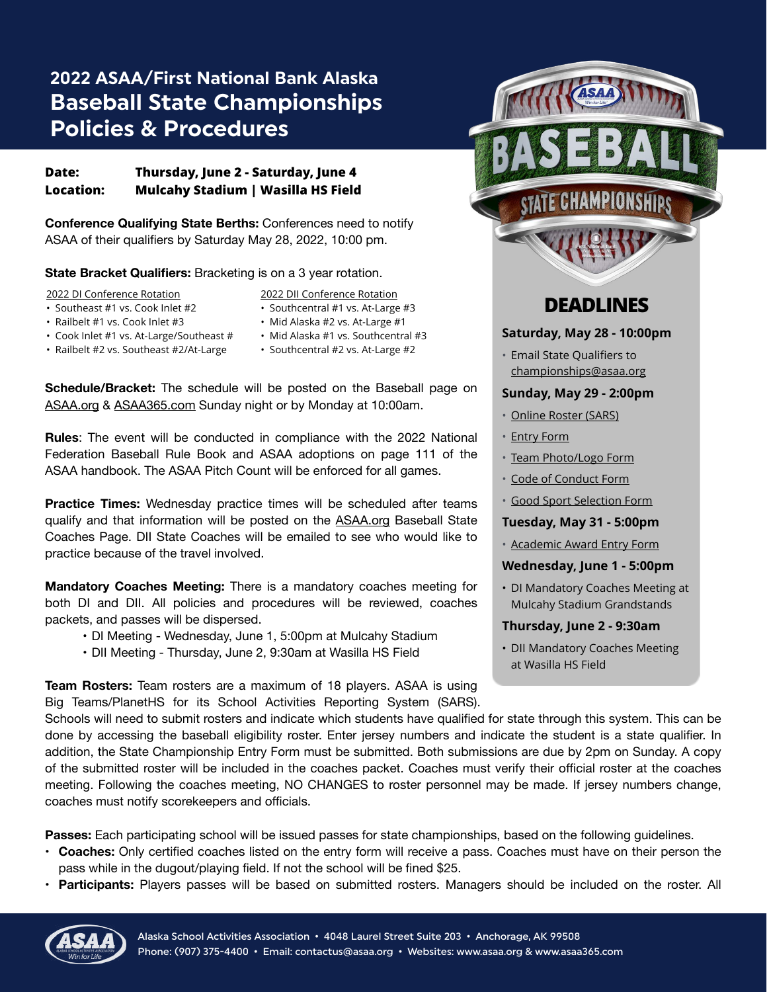# **2022 ASAA/First National Bank Alaska Baseball State Championships Policies & Procedures**

# **Date: Thursday, June 2 - Saturday, June 4 Location: Mulcahy Stadium | Wasilla HS Field**

**Conference Qualifying State Berths:** Conferences need to notify ASAA of their qualifiers by Saturday May 28, 2022, 10:00 pm.

**State Bracket Qualifiers:** Bracketing is on a 3 year rotation.

2022 DI Conference Rotation

- Southeast #1 vs. Cook Inlet #2
- Railbelt #1 vs. Cook Inlet #3
- Cook Inlet #1 vs. At-Large/Southeast #
- Railbelt #2 vs. Southeast #2/At-Large
- 2022 DII Conference Rotation • Southcentral #1 vs. At-Large #3
- Mid Alaska #2 vs. At-Large #1
- Mid Alaska #1 vs. Southcentral #3
- Southcentral #2 vs. At-Large #2

**Schedule/Bracket:** The schedule will be posted on the Baseball page on [ASAA.org](http://ASAA.org) & [ASAA365.com](http://ASAA365.com) Sunday night or by Monday at 10:00am.

**Rules**: The event will be conducted in compliance with the 2022 National Federation Baseball Rule Book and ASAA adoptions on page 111 of the ASAA handbook. The ASAA Pitch Count will be enforced for all games.

**Practice Times:** Wednesday practice times will be scheduled after teams qualify and that information will be posted on the [ASAA.org](http://ASAA.org) Baseball State Coaches Page. DII State Coaches will be emailed to see who would like to practice because of the travel involved.

**Mandatory Coaches Meeting:** There is a mandatory coaches meeting for both DI and DII. All policies and procedures will be reviewed, coaches packets, and passes will be dispersed.

- DI Meeting Wednesday, June 1, 5:00pm at Mulcahy Stadium
- DII Meeting Thursday, June 2, 9:30am at Wasilla HS Field

**Team Rosters:** Team rosters are a maximum of 18 players. ASAA is using Big Teams/PlanetHS for its School Activities Reporting System (SARS).



# **DEADLINES**

### **Saturday, May 28 - 10:00pm**

• Email State Qualifiers to [championships@asaa.org](mailto:championships@asaa.org)

#### **Sunday, May 29 - 2:00pm**

- [Online Roster \(SARS\)](https://asaa.org/activities/baseball/baseball-coaches/baseball-forms/)
- [Entry Form](http://asaa.org/activities/baseball/baseball-coaches/baseball-forms/)
- [Team Photo/Logo Form](http://asaa.org/activities/baseball/baseball-coaches/baseball-forms/)
- [Code of Conduct Form](http://asaa.org/activities/baseball/baseball-coaches/baseball-forms/)
- [Good Sport Selection Form](http://asaa.org/activities/baseball/baseball-coaches/baseball-forms/)

# **Tuesday, May 31 - 5:00pm**

• [Academic Award Entry Form](http://asaa.org/activities/baseball/baseball-coaches/baseball-forms/)

# **Wednesday, June 1 - 5:00pm**

• DI Mandatory Coaches Meeting at Mulcahy Stadium Grandstands

# **Thursday, June 2 - 9:30am**

• DII Mandatory Coaches Meeting at Wasilla HS Field

Schools will need to submit rosters and indicate which students have qualified for state through this system. This can be done by accessing the baseball eligibility roster. Enter jersey numbers and indicate the student is a state qualifier. In addition, the State Championship Entry Form must be submitted. Both submissions are due by 2pm on Sunday. A copy of the submitted roster will be included in the coaches packet. Coaches must verify their official roster at the coaches meeting. Following the coaches meeting, NO CHANGES to roster personnel may be made. If jersey numbers change, coaches must notify scorekeepers and officials.

**Passes:** Each participating school will be issued passes for state championships, based on the following guidelines.

- **Coaches:** Only certified coaches listed on the entry form will receive a pass. Coaches must have on their person the pass while in the dugout/playing field. If not the school will be fined \$25.
- **Participants:** Players passes will be based on submitted rosters. Managers should be included on the roster. All

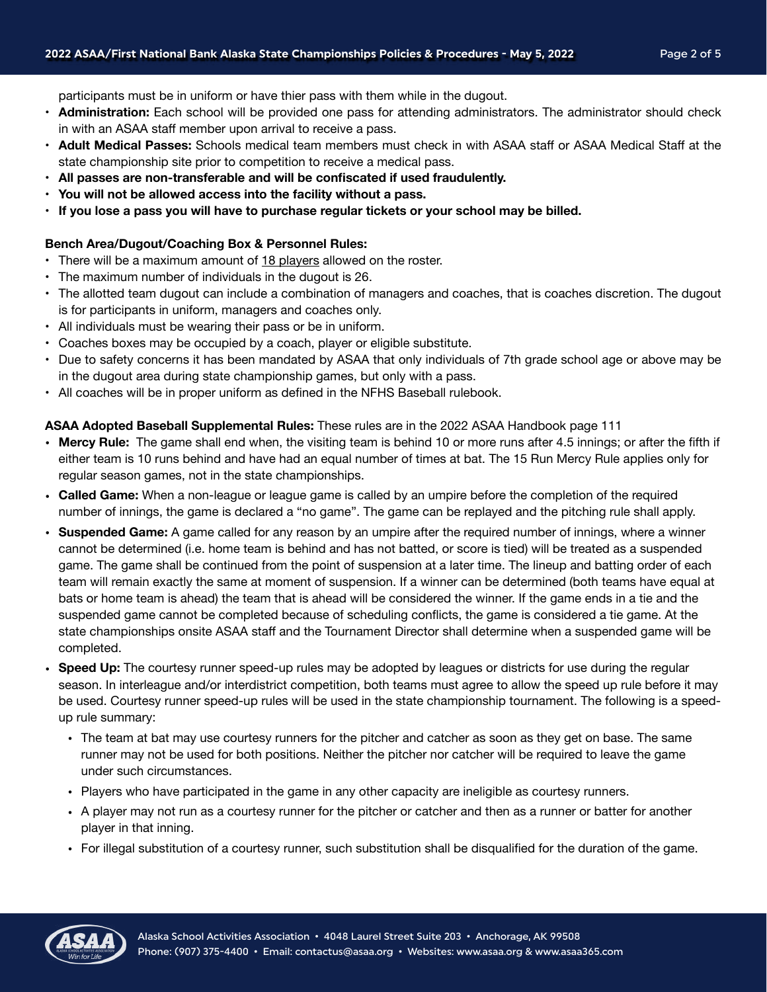participants must be in uniform or have thier pass with them while in the dugout.

- **Administration:** Each school will be provided one pass for attending administrators. The administrator should check in with an ASAA staff member upon arrival to receive a pass.
- **Adult Medical Passes:** Schools medical team members must check in with ASAA staff or ASAA Medical Staff at the state championship site prior to competition to receive a medical pass.
- **• All passes are non-transferable and will be confiscated if used fraudulently.**
- **• You will not be allowed access into the facility without a pass.**
- **• If you lose a pass you will have to purchase regular tickets or your school may be billed.**

#### **Bench Area/Dugout/Coaching Box & Personnel Rules:**

- **•** There will be a maximum amount of 18 players allowed on the roster.
- **•** The maximum number of individuals in the dugout is 26.
- The allotted team dugout can include a combination of managers and coaches, that is coaches discretion. The dugout is for participants in uniform, managers and coaches only.
- All individuals must be wearing their pass or be in uniform.
- Coaches boxes may be occupied by a coach, player or eligible substitute.
- Due to safety concerns it has been mandated by ASAA that only individuals of 7th grade school age or above may be in the dugout area during state championship games, but only with a pass.
- All coaches will be in proper uniform as defined in the NFHS Baseball rulebook.

### **ASAA Adopted Baseball Supplemental Rules:** These rules are in the 2022 ASAA Handbook page 111

- **Mercy Rule:** The game shall end when, the visiting team is behind 10 or more runs after 4.5 innings; or after the fifth if either team is 10 runs behind and have had an equal number of times at bat. The 15 Run Mercy Rule applies only for regular season games, not in the state championships.
- **Called Game:** When a non-league or league game is called by an umpire before the completion of the required number of innings, the game is declared a "no game". The game can be replayed and the pitching rule shall apply.
- **Suspended Game:** A game called for any reason by an umpire after the required number of innings, where a winner cannot be determined (i.e. home team is behind and has not batted, or score is tied) will be treated as a suspended game. The game shall be continued from the point of suspension at a later time. The lineup and batting order of each team will remain exactly the same at moment of suspension. If a winner can be determined (both teams have equal at bats or home team is ahead) the team that is ahead will be considered the winner. If the game ends in a tie and the suspended game cannot be completed because of scheduling conflicts, the game is considered a tie game. At the state championships onsite ASAA staff and the Tournament Director shall determine when a suspended game will be completed.
- **Speed Up:** The courtesy runner speed-up rules may be adopted by leagues or districts for use during the regular season. In interleague and/or interdistrict competition, both teams must agree to allow the speed up rule before it may be used. Courtesy runner speed-up rules will be used in the state championship tournament. The following is a speedup rule summary:
	- The team at bat may use courtesy runners for the pitcher and catcher as soon as they get on base. The same runner may not be used for both positions. Neither the pitcher nor catcher will be required to leave the game under such circumstances.
	- Players who have participated in the game in any other capacity are ineligible as courtesy runners.
	- A player may not run as a courtesy runner for the pitcher or catcher and then as a runner or batter for another player in that inning.
	- For illegal substitution of a courtesy runner, such substitution shall be disqualified for the duration of the game.

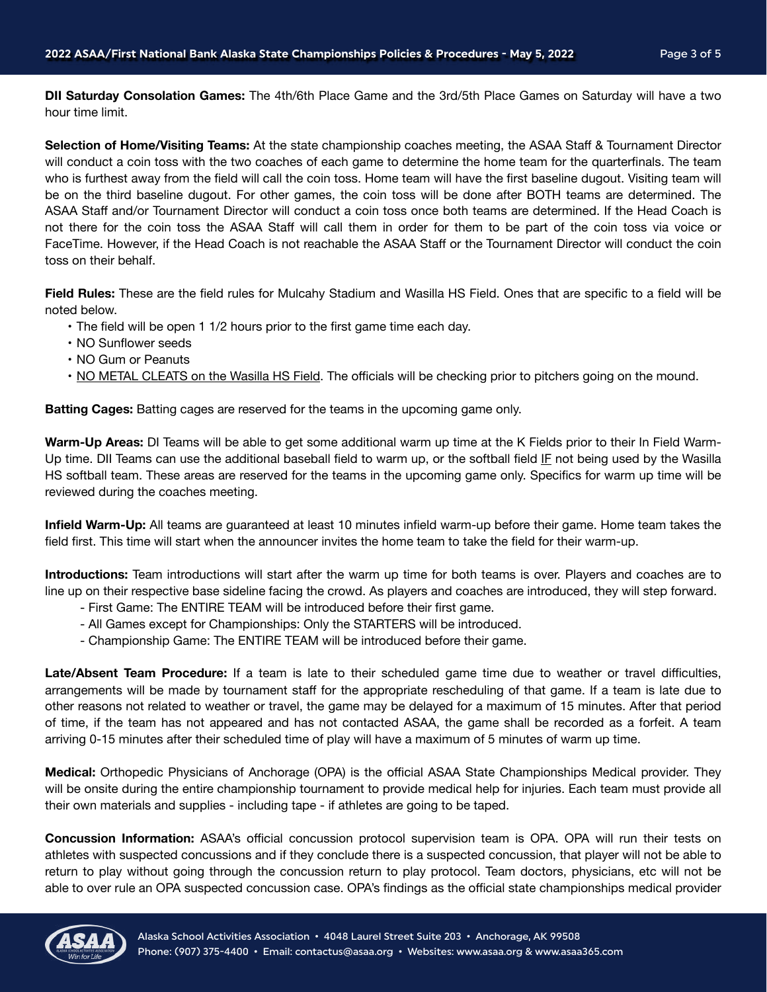**DII Saturday Consolation Games:** The 4th/6th Place Game and the 3rd/5th Place Games on Saturday will have a two hour time limit.

**Selection of Home/Visiting Teams:** At the state championship coaches meeting, the ASAA Staff & Tournament Director will conduct a coin toss with the two coaches of each game to determine the home team for the quarterfinals. The team who is furthest away from the field will call the coin toss. Home team will have the first baseline dugout. Visiting team will be on the third baseline dugout. For other games, the coin toss will be done after BOTH teams are determined. The ASAA Staff and/or Tournament Director will conduct a coin toss once both teams are determined. If the Head Coach is not there for the coin toss the ASAA Staff will call them in order for them to be part of the coin toss via voice or FaceTime. However, if the Head Coach is not reachable the ASAA Staff or the Tournament Director will conduct the coin toss on their behalf.

**Field Rules:** These are the field rules for Mulcahy Stadium and Wasilla HS Field. Ones that are specific to a field will be noted below.

- The field will be open 1 1/2 hours prior to the first game time each day.
- NO Sunflower seeds
- NO Gum or Peanuts
- NO METAL CLEATS on the Wasilla HS Field. The officials will be checking prior to pitchers going on the mound.

**Batting Cages:** Batting cages are reserved for the teams in the upcoming game only.

**Warm-Up Areas:** DI Teams will be able to get some additional warm up time at the K Fields prior to their In Field Warm-Up time. DII Teams can use the additional baseball field to warm up, or the softball field IF not being used by the Wasilla HS softball team. These areas are reserved for the teams in the upcoming game only. Specifics for warm up time will be reviewed during the coaches meeting.

**Infield Warm-Up:** All teams are guaranteed at least 10 minutes infield warm-up before their game. Home team takes the field first. This time will start when the announcer invites the home team to take the field for their warm-up.

**Introductions:** Team introductions will start after the warm up time for both teams is over. Players and coaches are to line up on their respective base sideline facing the crowd. As players and coaches are introduced, they will step forward.

- First Game: The ENTIRE TEAM will be introduced before their first game.
- All Games except for Championships: Only the STARTERS will be introduced.
- Championship Game: The ENTIRE TEAM will be introduced before their game.

**Late/Absent Team Procedure:** If a team is late to their scheduled game time due to weather or travel difficulties, arrangements will be made by tournament staff for the appropriate rescheduling of that game. If a team is late due to other reasons not related to weather or travel, the game may be delayed for a maximum of 15 minutes. After that period of time, if the team has not appeared and has not contacted ASAA, the game shall be recorded as a forfeit. A team arriving 0-15 minutes after their scheduled time of play will have a maximum of 5 minutes of warm up time.

**Medical:** Orthopedic Physicians of Anchorage (OPA) is the official ASAA State Championships Medical provider. They will be onsite during the entire championship tournament to provide medical help for injuries. Each team must provide all their own materials and supplies - including tape - if athletes are going to be taped.

**Concussion Information:** ASAA's official concussion protocol supervision team is OPA. OPA will run their tests on athletes with suspected concussions and if they conclude there is a suspected concussion, that player will not be able to return to play without going through the concussion return to play protocol. Team doctors, physicians, etc will not be able to over rule an OPA suspected concussion case. OPA's findings as the official state championships medical provider

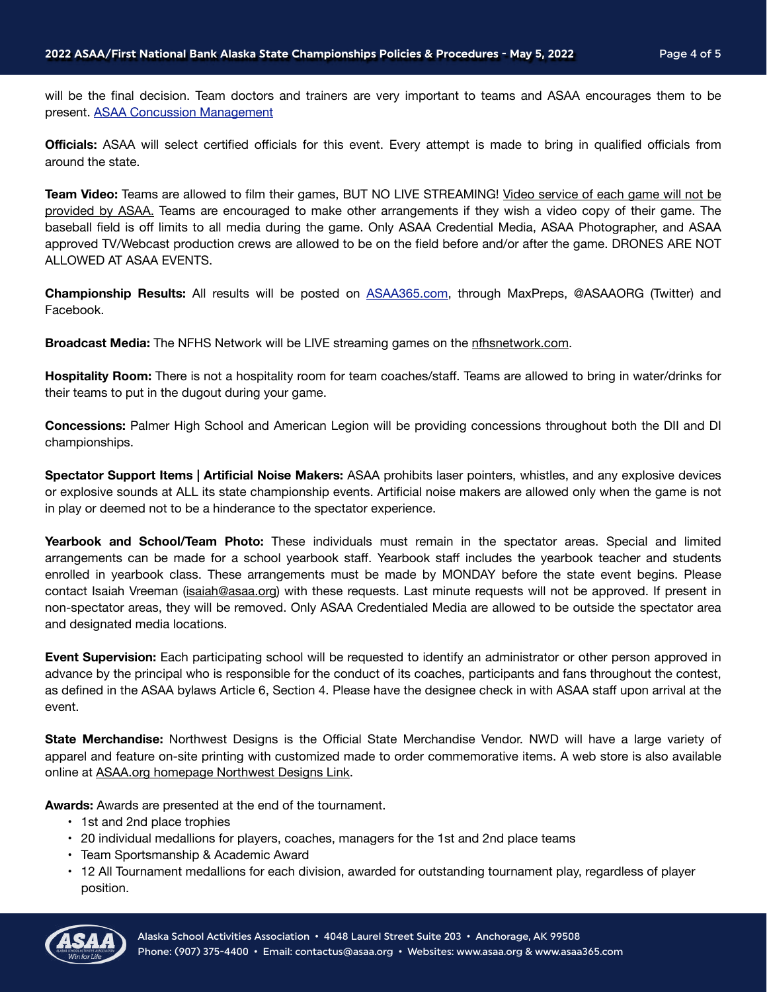will be the final decision. Team doctors and trainers are very important to teams and ASAA encourages them to be present. [ASAA Concussion Management](http://asaa.org/resources/sports-medicine/concussion-management/)

**Officials:** ASAA will select certified officials for this event. Every attempt is made to bring in qualified officials from around the state.

**Team Video:** Teams are allowed to film their games, BUT NO LIVE STREAMING! Video service of each game will not be provided by ASAA. Teams are encouraged to make other arrangements if they wish a video copy of their game. The baseball field is off limits to all media during the game. Only ASAA Credential Media, ASAA Photographer, and ASAA approved TV/Webcast production crews are allowed to be on the field before and/or after the game. DRONES ARE NOT ALLOWED AT ASAA EVENTS.

**Championship Results:** All results will be posted on [ASAA365.com,](http://ASAA365.com) through MaxPreps, @ASAAORG (Twitter) and Facebook.

Broadcast Media: The NFHS Network will be LIVE streaming games on the [nfhsnetwork.com](http://nfhsnetwork.com).

**Hospitality Room:** There is not a hospitality room for team coaches/staff. Teams are allowed to bring in water/drinks for their teams to put in the dugout during your game.

**Concessions:** Palmer High School and American Legion will be providing concessions throughout both the DII and DI championships.

**Spectator Support Items | Artificial Noise Makers:** ASAA prohibits laser pointers, whistles, and any explosive devices or explosive sounds at ALL its state championship events. Artificial noise makers are allowed only when the game is not in play or deemed not to be a hinderance to the spectator experience.

**Yearbook and School/Team Photo:** These individuals must remain in the spectator areas. Special and limited arrangements can be made for a school yearbook staff. Yearbook staff includes the yearbook teacher and students enrolled in yearbook class. These arrangements must be made by MONDAY before the state event begins. Please contact Isaiah Vreeman ([isaiah@asaa.org\)](mailto:isaiah@asaa.org) with these requests. Last minute requests will not be approved. If present in non-spectator areas, they will be removed. Only ASAA Credentialed Media are allowed to be outside the spectator area and designated media locations.

**Event Supervision:** Each participating school will be requested to identify an administrator or other person approved in advance by the principal who is responsible for the conduct of its coaches, participants and fans throughout the contest, as defined in the ASAA bylaws Article 6, Section 4. Please have the designee check in with ASAA staff upon arrival at the event.

**State Merchandise:** Northwest Designs is the Official State Merchandise Vendor. NWD will have a large variety of apparel and feature on-site printing with customized made to order commemorative items. A web store is also available online at [ASAA.org homepage Northwest Designs Link](https://nwd.ink/s/asaastore/).

**Awards:** Awards are presented at the end of the tournament.

- 1st and 2nd place trophies
- 20 individual medallions for players, coaches, managers for the 1st and 2nd place teams
- Team Sportsmanship & Academic Award
- 12 All Tournament medallions for each division, awarded for outstanding tournament play, regardless of player position.